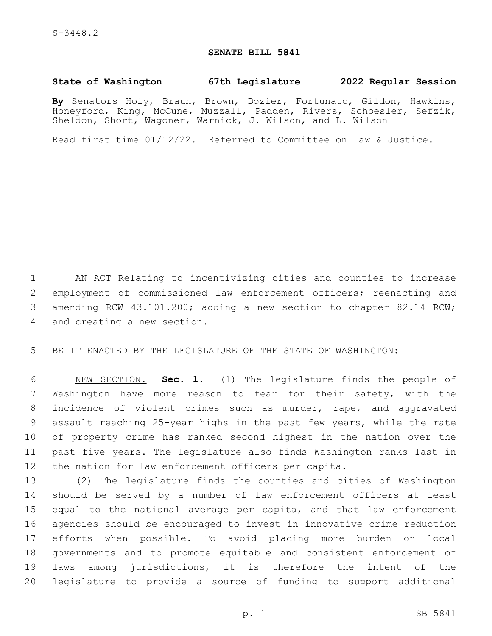## **SENATE BILL 5841**

## **State of Washington 67th Legislature 2022 Regular Session**

**By** Senators Holy, Braun, Brown, Dozier, Fortunato, Gildon, Hawkins, Honeyford, King, McCune, Muzzall, Padden, Rivers, Schoesler, Sefzik, Sheldon, Short, Wagoner, Warnick, J. Wilson, and L. Wilson

Read first time 01/12/22. Referred to Committee on Law & Justice.

 AN ACT Relating to incentivizing cities and counties to increase employment of commissioned law enforcement officers; reenacting and amending RCW 43.101.200; adding a new section to chapter 82.14 RCW; 4 and creating a new section.

BE IT ENACTED BY THE LEGISLATURE OF THE STATE OF WASHINGTON:

 NEW SECTION. **Sec. 1.** (1) The legislature finds the people of Washington have more reason to fear for their safety, with the incidence of violent crimes such as murder, rape, and aggravated assault reaching 25-year highs in the past few years, while the rate of property crime has ranked second highest in the nation over the past five years. The legislature also finds Washington ranks last in the nation for law enforcement officers per capita.

 (2) The legislature finds the counties and cities of Washington should be served by a number of law enforcement officers at least equal to the national average per capita, and that law enforcement agencies should be encouraged to invest in innovative crime reduction efforts when possible. To avoid placing more burden on local governments and to promote equitable and consistent enforcement of laws among jurisdictions, it is therefore the intent of the legislature to provide a source of funding to support additional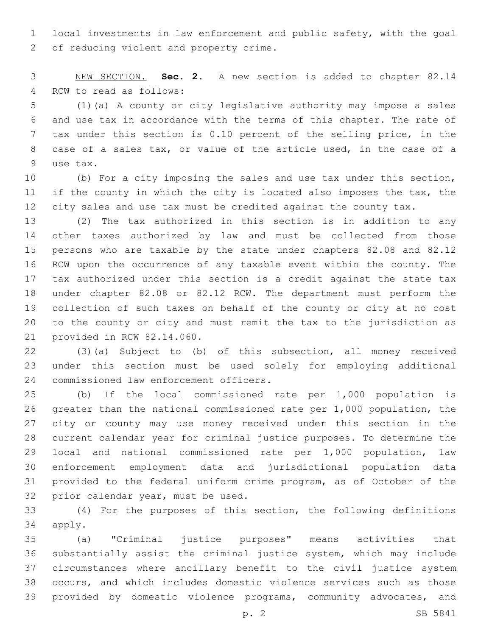local investments in law enforcement and public safety, with the goal 2 of reducing violent and property crime.

 NEW SECTION. **Sec. 2.** A new section is added to chapter 82.14 4 RCW to read as follows:

 (1)(a) A county or city legislative authority may impose a sales and use tax in accordance with the terms of this chapter. The rate of tax under this section is 0.10 percent of the selling price, in the case of a sales tax, or value of the article used, in the case of a 9 use tax.

 (b) For a city imposing the sales and use tax under this section, if the county in which the city is located also imposes the tax, the city sales and use tax must be credited against the county tax.

 (2) The tax authorized in this section is in addition to any other taxes authorized by law and must be collected from those persons who are taxable by the state under chapters 82.08 and 82.12 RCW upon the occurrence of any taxable event within the county. The tax authorized under this section is a credit against the state tax under chapter 82.08 or 82.12 RCW. The department must perform the collection of such taxes on behalf of the county or city at no cost to the county or city and must remit the tax to the jurisdiction as 21 provided in RCW 82.14.060.

 (3)(a) Subject to (b) of this subsection, all money received under this section must be used solely for employing additional 24 commissioned law enforcement officers.

 (b) If the local commissioned rate per 1,000 population is greater than the national commissioned rate per 1,000 population, the city or county may use money received under this section in the current calendar year for criminal justice purposes. To determine the local and national commissioned rate per 1,000 population, law enforcement employment data and jurisdictional population data provided to the federal uniform crime program, as of October of the 32 prior calendar year, must be used.

 (4) For the purposes of this section, the following definitions 34 apply.

 (a) "Criminal justice purposes" means activities that substantially assist the criminal justice system, which may include circumstances where ancillary benefit to the civil justice system occurs, and which includes domestic violence services such as those provided by domestic violence programs, community advocates, and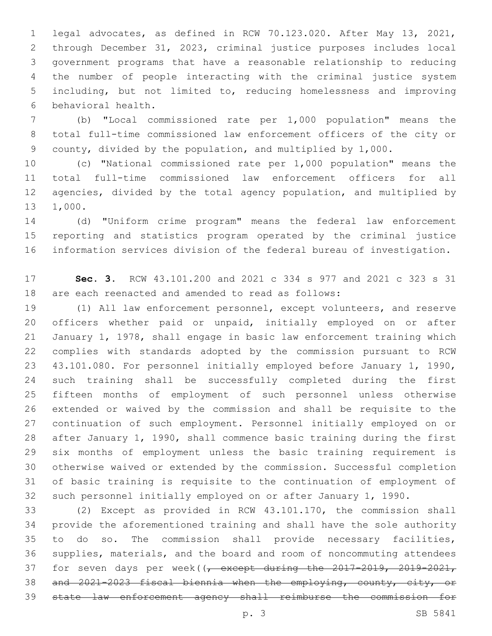legal advocates, as defined in RCW 70.123.020. After May 13, 2021, through December 31, 2023, criminal justice purposes includes local government programs that have a reasonable relationship to reducing the number of people interacting with the criminal justice system including, but not limited to, reducing homelessness and improving behavioral health.6

 (b) "Local commissioned rate per 1,000 population" means the total full-time commissioned law enforcement officers of the city or county, divided by the population, and multiplied by 1,000.

 (c) "National commissioned rate per 1,000 population" means the total full-time commissioned law enforcement officers for all agencies, divided by the total agency population, and multiplied by 1,000.

 (d) "Uniform crime program" means the federal law enforcement reporting and statistics program operated by the criminal justice information services division of the federal bureau of investigation.

 **Sec. 3.** RCW 43.101.200 and 2021 c 334 s 977 and 2021 c 323 s 31 are each reenacted and amended to read as follows:

 (1) All law enforcement personnel, except volunteers, and reserve officers whether paid or unpaid, initially employed on or after January 1, 1978, shall engage in basic law enforcement training which complies with standards adopted by the commission pursuant to RCW 43.101.080. For personnel initially employed before January 1, 1990, such training shall be successfully completed during the first fifteen months of employment of such personnel unless otherwise extended or waived by the commission and shall be requisite to the continuation of such employment. Personnel initially employed on or after January 1, 1990, shall commence basic training during the first six months of employment unless the basic training requirement is otherwise waived or extended by the commission. Successful completion of basic training is requisite to the continuation of employment of such personnel initially employed on or after January 1, 1990.

 (2) Except as provided in RCW 43.101.170, the commission shall provide the aforementioned training and shall have the sole authority to do so. The commission shall provide necessary facilities, supplies, materials, and the board and room of noncommuting attendees 37 for seven days per week((, except during the 2017-2019, 2019-2021, and 2021-2023 fiscal biennia when the employing, county, city, or state law enforcement agency shall reimburse the commission for

p. 3 SB 5841